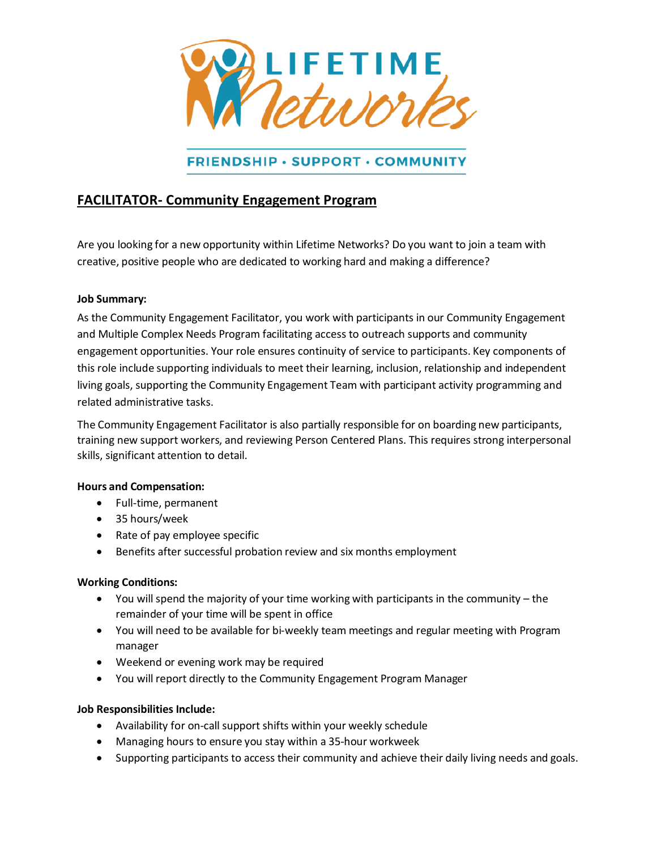

## **FRIENDSHIP • SUPPORT • COMMUNITY**

## **FACILITATOR- Community Engagement Program**

Are you looking for a new opportunity within Lifetime Networks? Do you want to join a team with creative, positive people who are dedicated to working hard and making a difference?

### **Job Summary:**

As the Community Engagement Facilitator, you work with participants in our Community Engagement and Multiple Complex Needs Program facilitating access to outreach supports and community engagement opportunities. Your role ensures continuity of service to participants. Key components of this role include supporting individuals to meet their learning, inclusion, relationship and independent living goals, supporting the Community Engagement Team with participant activity programming and related administrative tasks.

The Community Engagement Facilitator is also partially responsible for on boarding new participants, training new support workers, and reviewing Person Centered Plans. This requires strong interpersonal skills, significant attention to detail.

### **Hours and Compensation:**

- Full-time, permanent
- 35 hours/week
- Rate of pay employee specific
- Benefits after successful probation review and six months employment

### **Working Conditions:**

- You will spend the majority of your time working with participants in the community the remainder of your time will be spent in office
- You will need to be available for bi-weekly team meetings and regular meeting with Program manager
- Weekend or evening work may be required
- You will report directly to the Community Engagement Program Manager

### **Job Responsibilities Include:**

- Availability for on-call support shifts within your weekly schedule
- Managing hours to ensure you stay within a 35-hour workweek
- Supporting participants to access their community and achieve their daily living needs and goals.